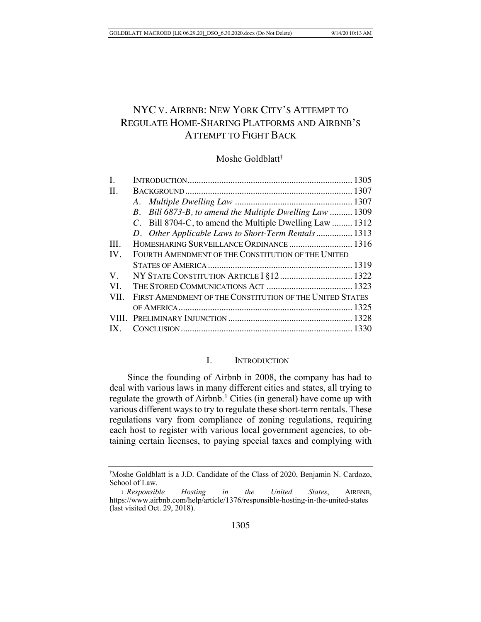# NYC V. AIRBNB: NEW YORK CITY'S ATTEMPT TO REGULATE HOME-SHARING PLATFORMS AND AIRBNB'S ATTEMPT TO FIGHT BACK

### Moshe Goldblatt†

| Ι.          |                                                          |  |
|-------------|----------------------------------------------------------|--|
| $\Pi$ .     |                                                          |  |
|             |                                                          |  |
|             | B. Bill 6873-B, to amend the Multiple Dwelling Law  1309 |  |
|             | C. Bill 8704-C, to amend the Multiple Dwelling Law  1312 |  |
|             | D. Other Applicable Laws to Short-Term Rentals 1313      |  |
| III.        | HOMESHARING SURVEILLANCE ORDINANCE  1316                 |  |
| IV.         | FOURTH AMENDMENT OF THE CONSTITUTION OF THE UNITED       |  |
|             |                                                          |  |
| $V_{\cdot}$ |                                                          |  |
| VI.         |                                                          |  |
| VII.        | FIRST AMENDMENT OF THE CONSTITUTION OF THE UNITED STATES |  |
|             |                                                          |  |
|             |                                                          |  |
|             |                                                          |  |
|             |                                                          |  |

# I. INTRODUCTION

Since the founding of Airbnb in 2008, the company has had to deal with various laws in many different cities and states, all trying to regulate the growth of Airbnb.<sup>1</sup> Cities (in general) have come up with various different ways to try to regulate these short-term rentals. These regulations vary from compliance of zoning regulations, requiring each host to register with various local government agencies, to obtaining certain licenses, to paying special taxes and complying with

<sup>†</sup> Moshe Goldblatt is a J.D. Candidate of the Class of 2020, Benjamin N. Cardozo, School of Law.

<sup>1</sup> *Responsible Hosting in the United States*, AIRBNB, https://www.airbnb.com/help/article/1376/responsible-hosting-in-the-united-states (last visited Oct. 29, 2018).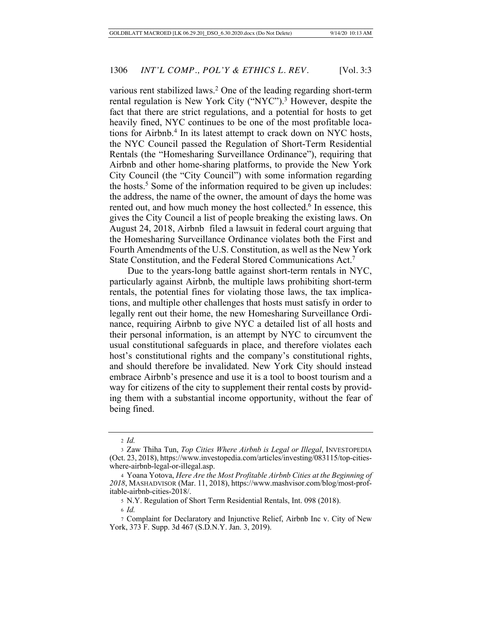various rent stabilized laws.<sup>2</sup> One of the leading regarding short-term rental regulation is New York City ("NYC").<sup>3</sup> However, despite the fact that there are strict regulations, and a potential for hosts to get heavily fined, NYC continues to be one of the most profitable locations for Airbnb.<sup>4</sup> In its latest attempt to crack down on NYC hosts, the NYC Council passed the Regulation of Short-Term Residential Rentals (the "Homesharing Surveillance Ordinance"), requiring that Airbnb and other home-sharing platforms, to provide the New York City Council (the "City Council") with some information regarding the hosts.<sup>5</sup> Some of the information required to be given up includes: the address, the name of the owner, the amount of days the home was rented out, and how much money the host collected.<sup>6</sup> In essence, this gives the City Council a list of people breaking the existing laws. On August 24, 2018, Airbnb filed a lawsuit in federal court arguing that the Homesharing Surveillance Ordinance violates both the First and Fourth Amendments of the U.S. Constitution, as well as the New York State Constitution, and the Federal Stored Communications Act.7

Due to the years-long battle against short-term rentals in NYC, particularly against Airbnb, the multiple laws prohibiting short-term rentals, the potential fines for violating those laws, the tax implications, and multiple other challenges that hosts must satisfy in order to legally rent out their home, the new Homesharing Surveillance Ordinance, requiring Airbnb to give NYC a detailed list of all hosts and their personal information, is an attempt by NYC to circumvent the usual constitutional safeguards in place, and therefore violates each host's constitutional rights and the company's constitutional rights, and should therefore be invalidated. New York City should instead embrace Airbnb's presence and use it is a tool to boost tourism and a way for citizens of the city to supplement their rental costs by providing them with a substantial income opportunity, without the fear of being fined.

<sup>2</sup> *Id.*

<sup>3</sup> Zaw Thiha Tun, *Top Cities Where Airbnb is Legal or Illegal*, INVESTOPEDIA (Oct. 23, 2018), https://www.investopedia.com/articles/investing/083115/top-citieswhere-airbnb-legal-or-illegal.asp.

<sup>4</sup> Yoana Yotova, *Here Are the Most Profitable Airbnb Cities at the Beginning of 2018*, MASHADVISOR (Mar. 11, 2018), https://www.mashvisor.com/blog/most-profitable-airbnb-cities-2018/.

<sup>5</sup> N.Y. Regulation of Short Term Residential Rentals, Int. 098 (2018).

<sup>6</sup> *Id.*

<sup>7</sup> Complaint for Declaratory and Injunctive Relief, Airbnb Inc v. City of New York, 373 F. Supp. 3d 467 (S.D.N.Y. Jan. 3, 2019).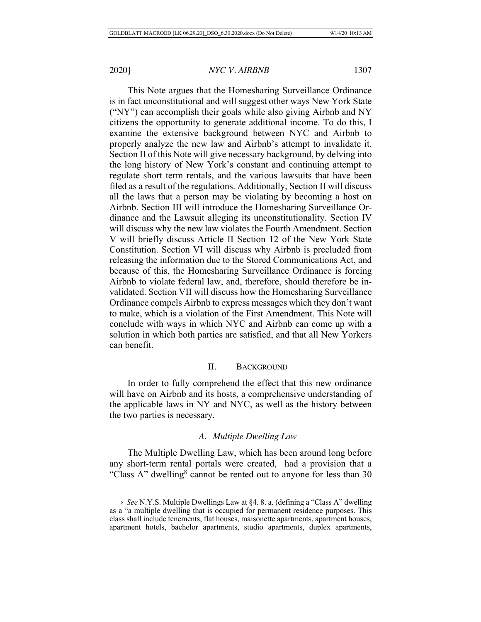This Note argues that the Homesharing Surveillance Ordinance is in fact unconstitutional and will suggest other ways New York State ("NY") can accomplish their goals while also giving Airbnb and NY citizens the opportunity to generate additional income. To do this, I examine the extensive background between NYC and Airbnb to properly analyze the new law and Airbnb's attempt to invalidate it. Section II of this Note will give necessary background, by delving into the long history of New York's constant and continuing attempt to regulate short term rentals, and the various lawsuits that have been filed as a result of the regulations. Additionally, Section II will discuss all the laws that a person may be violating by becoming a host on Airbnb. Section III will introduce the Homesharing Surveillance Ordinance and the Lawsuit alleging its unconstitutionality. Section IV will discuss why the new law violates the Fourth Amendment. Section V will briefly discuss Article II Section 12 of the New York State Constitution. Section VI will discuss why Airbnb is precluded from releasing the information due to the Stored Communications Act, and because of this, the Homesharing Surveillance Ordinance is forcing Airbnb to violate federal law, and, therefore, should therefore be invalidated. Section VII will discuss how the Homesharing Surveillance Ordinance compels Airbnb to express messages which they don't want to make, which is a violation of the First Amendment. This Note will conclude with ways in which NYC and Airbnb can come up with a solution in which both parties are satisfied, and that all New Yorkers can benefit.

# II. BACKGROUND

In order to fully comprehend the effect that this new ordinance will have on Airbnb and its hosts, a comprehensive understanding of the applicable laws in NY and NYC, as well as the history between the two parties is necessary.

# *A. Multiple Dwelling Law*

The Multiple Dwelling Law, which has been around long before any short-term rental portals were created, had a provision that a "Class A" dwelling<sup>8</sup> cannot be rented out to anyone for less than  $30$ 

<sup>8</sup> *See* N.Y.S. Multiple Dwellings Law at §4. 8. a. (defining a "Class A" dwelling as a "a multiple dwelling that is occupied for permanent residence purposes. This class shall include tenements, flat houses, maisonette apartments, apartment houses, apartment hotels, bachelor apartments, studio apartments, duplex apartments,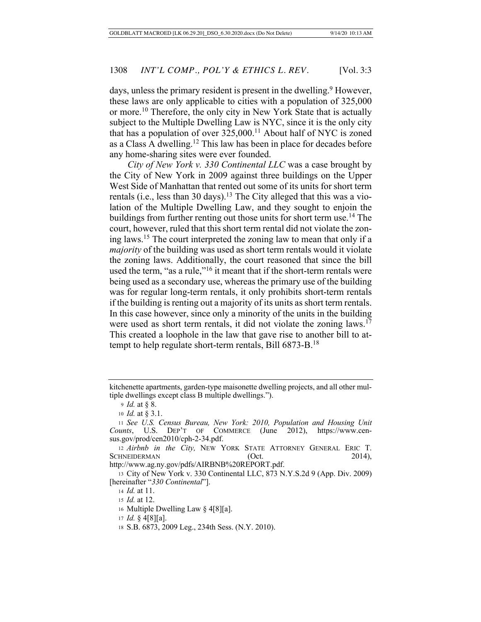days, unless the primary resident is present in the dwelling.<sup>9</sup> However, these laws are only applicable to cities with a population of 325,000 or more.<sup>10</sup> Therefore, the only city in New York State that is actually subject to the Multiple Dwelling Law is NYC, since it is the only city that has a population of over  $325,000$ .<sup>11</sup> About half of NYC is zoned as a Class A dwelling.12 This law has been in place for decades before any home-sharing sites were ever founded.

*City of New York v. 330 Continental LLC* was a case brought by the City of New York in 2009 against three buildings on the Upper West Side of Manhattan that rented out some of its units for short term rentals (i.e., less than 30 days).<sup>13</sup> The City alleged that this was a violation of the Multiple Dwelling Law, and they sought to enjoin the buildings from further renting out those units for short term use.14 The court, however, ruled that this short term rental did not violate the zoning laws.15 The court interpreted the zoning law to mean that only if a *majority* of the building was used as short term rentals would it violate the zoning laws. Additionally, the court reasoned that since the bill used the term, "as a rule,"<sup>16</sup> it meant that if the short-term rentals were being used as a secondary use, whereas the primary use of the building was for regular long-term rentals, it only prohibits short-term rentals if the building is renting out a majority of its units as short term rentals. In this case however, since only a minority of the units in the building were used as short term rentals, it did not violate the zoning laws.<sup>17</sup> This created a loophole in the law that gave rise to another bill to attempt to help regulate short-term rentals, Bill 6873-B.18

kitchenette apartments, garden-type maisonette dwelling projects, and all other multiple dwellings except class B multiple dwellings.").

<sup>9</sup> *Id.* at § 8.

<sup>10</sup> *Id.* at § 3.1.

<sup>11</sup> *See U.S. Census Bureau, New York: 2010, Population and Housing Unit Counts*, U.S. DEP'T OF COMMERCE (June 2012), https://www.census.gov/prod/cen2010/cph-2-34.pdf.

<sup>12</sup> *Airbnb in the City,* NEW YORK STATE ATTORNEY GENERAL ERIC T. SCHNEIDERMAN (Oct. 2014),

http://www.ag.ny.gov/pdfs/AIRBNB%20REPORT.pdf.

<sup>13</sup> City of New York v. 330 Continental LLC, 873 N.Y.S.2d 9 (App. Div. 2009) [hereinafter "*330 Continental*"].

<sup>14</sup> *Id.* at 11.

<sup>15</sup> *Id.* at 12.

<sup>16</sup> Multiple Dwelling Law § 4[8][a].

<sup>17</sup> *Id.* § 4[8][a].

<sup>18</sup> S.B. 6873, 2009 Leg., 234th Sess. (N.Y. 2010).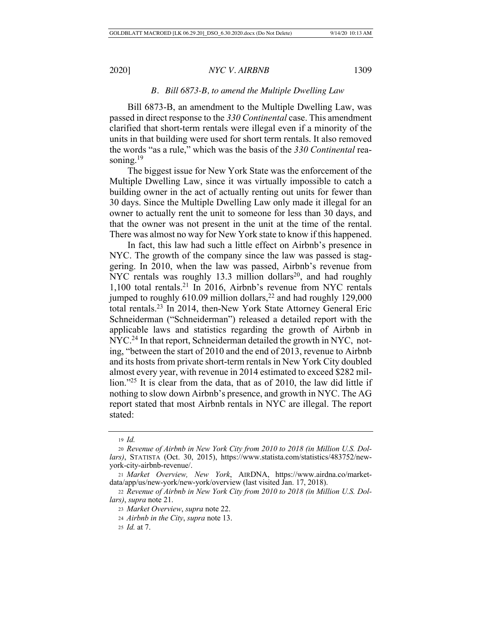## *B. Bill 6873-B, to amend the Multiple Dwelling Law*

Bill 6873-B, an amendment to the Multiple Dwelling Law, was passed in direct response to the *330 Continental* case. This amendment clarified that short-term rentals were illegal even if a minority of the units in that building were used for short term rentals. It also removed the words "as a rule," which was the basis of the *330 Continental* reasoning. $19$ 

The biggest issue for New York State was the enforcement of the Multiple Dwelling Law, since it was virtually impossible to catch a building owner in the act of actually renting out units for fewer than 30 days. Since the Multiple Dwelling Law only made it illegal for an owner to actually rent the unit to someone for less than 30 days, and that the owner was not present in the unit at the time of the rental. There was almost no way for New York state to know if this happened.

In fact, this law had such a little effect on Airbnb's presence in NYC. The growth of the company since the law was passed is staggering. In 2010, when the law was passed, Airbnb's revenue from NYC rentals was roughly 13.3 million dollars<sup>20</sup>, and had roughly 1,100 total rentals.21 In 2016, Airbnb's revenue from NYC rentals jumped to roughly  $610.09$  million dollars,<sup>22</sup> and had roughly 129,000 total rentals.23 In 2014, then-New York State Attorney General Eric Schneiderman ("Schneiderman") released a detailed report with the applicable laws and statistics regarding the growth of Airbnb in NYC.<sup>24</sup> In that report, Schneiderman detailed the growth in NYC, noting, "between the start of 2010 and the end of 2013, revenue to Airbnb and its hosts from private short-term rentals in New York City doubled almost every year, with revenue in 2014 estimated to exceed \$282 million."<sup>25</sup> It is clear from the data, that as of 2010, the law did little if nothing to slow down Airbnb's presence, and growth in NYC. The AG report stated that most Airbnb rentals in NYC are illegal. The report stated:

<sup>19</sup> *Id.*

<sup>20</sup> *Revenue of Airbnb in New York City from 2010 to 2018 (in Million U.S. Dollars)*, STATISTA (Oct. 30, 2015), https://www.statista.com/statistics/483752/newyork-city-airbnb-revenue/.

<sup>21</sup> *Market Overview, New York*, AIRDNA, https://www.airdna.co/marketdata/app/us/new-york/new-york/overview (last visited Jan. 17, 2018).

<sup>22</sup> *Revenue of Airbnb in New York City from 2010 to 2018 (in Million U.S. Dollars)*, *supra* note 21.

<sup>23</sup> *Market Overview*, *supra* note 22.

<sup>24</sup> *Airbnb in the City*, *supra* note 13.

<sup>25</sup> *Id.* at 7.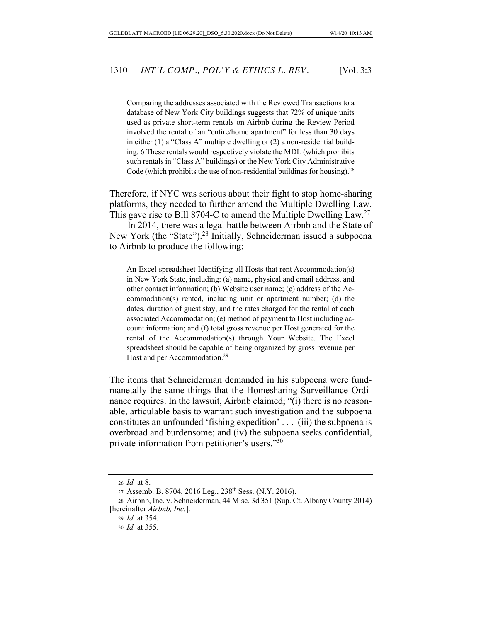Comparing the addresses associated with the Reviewed Transactions to a database of New York City buildings suggests that 72% of unique units used as private short-term rentals on Airbnb during the Review Period involved the rental of an "entire/home apartment" for less than 30 days in either (1) a "Class A" multiple dwelling or (2) a non-residential building. 6 These rentals would respectively violate the MDL (which prohibits such rentals in "Class A" buildings) or the New York City Administrative Code (which prohibits the use of non-residential buildings for housing).<sup>26</sup>

Therefore, if NYC was serious about their fight to stop home-sharing platforms, they needed to further amend the Multiple Dwelling Law. This gave rise to Bill 8704-C to amend the Multiple Dwelling Law.<sup>27</sup>

In 2014, there was a legal battle between Airbnb and the State of New York (the "State").28 Initially, Schneiderman issued a subpoena to Airbnb to produce the following:

An Excel spreadsheet Identifying all Hosts that rent Accommodation(s) in New York State, including: (a) name, physical and email address, and other contact information; (b) Website user name; (c) address of the Accommodation(s) rented, including unit or apartment number; (d) the dates, duration of guest stay, and the rates charged for the rental of each associated Accommodation; (e) method of payment to Host including account information; and (f) total gross revenue per Host generated for the rental of the Accommodation(s) through Your Website. The Excel spreadsheet should be capable of being organized by gross revenue per Host and per Accommodation.<sup>29</sup>

The items that Schneiderman demanded in his subpoena were fundmanetally the same things that the Homesharing Surveillance Ordinance requires. In the lawsuit, Airbnb claimed; "(i) there is no reasonable, articulable basis to warrant such investigation and the subpoena constitutes an unfounded 'fishing expedition' . . . (iii) the subpoena is overbroad and burdensome; and (iv) the subpoena seeks confidential, private information from petitioner's users."30

<sup>26</sup> *Id.* at 8.

<sup>27</sup> Assemb. B. 8704, 2016 Leg., 238<sup>th</sup> Sess. (N.Y. 2016).

<sup>28</sup> Airbnb, Inc. v. Schneiderman, 44 Misc. 3d 351 (Sup. Ct. Albany County 2014) [hereinafter *Airbnb, Inc.*].

<sup>29</sup> *Id.* at 354.

<sup>30</sup> *Id.* at 355.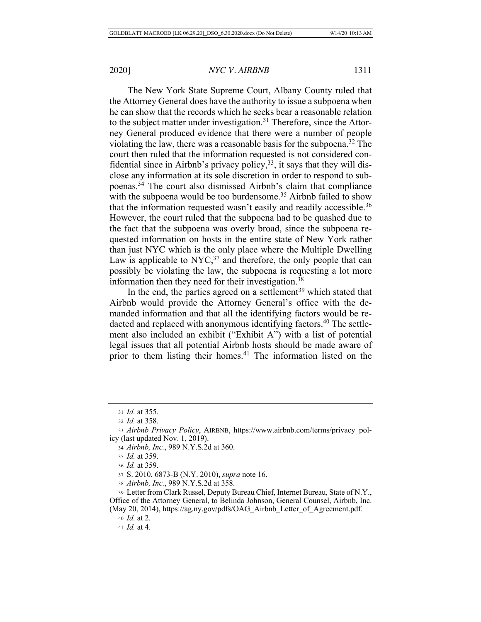The New York State Supreme Court, Albany County ruled that the Attorney General does have the authority to issue a subpoena when he can show that the records which he seeks bear a reasonable relation to the subject matter under investigation.<sup>31</sup> Therefore, since the Attorney General produced evidence that there were a number of people violating the law, there was a reasonable basis for the subpoena.32 The court then ruled that the information requested is not considered confidential since in Airbnb's privacy policy,  $33$ , it says that they will disclose any information at its sole discretion in order to respond to subpoenas.34 The court also dismissed Airbnb's claim that compliance with the subpoena would be too burdensome.<sup>35</sup> Airbnb failed to show that the information requested wasn't easily and readily accessible.<sup>36</sup> However, the court ruled that the subpoena had to be quashed due to the fact that the subpoena was overly broad, since the subpoena requested information on hosts in the entire state of New York rather than just NYC which is the only place where the Multiple Dwelling Law is applicable to  $Nyc<sub>37</sub>$  and therefore, the only people that can possibly be violating the law, the subpoena is requesting a lot more information then they need for their investigation.38

In the end, the parties agreed on a settlement<sup>39</sup> which stated that Airbnb would provide the Attorney General's office with the demanded information and that all the identifying factors would be redacted and replaced with anonymous identifying factors.<sup>40</sup> The settlement also included an exhibit ("Exhibit A") with a list of potential legal issues that all potential Airbnb hosts should be made aware of prior to them listing their homes.<sup>41</sup> The information listed on the

<sup>36</sup> *Id.* at 359.

<sup>37</sup> S. 2010, 6873-B (N.Y. 2010), *supra* note 16.

<sup>38</sup> *Airbnb, Inc.*, 989 N.Y.S.2d at 358.

<sup>39</sup> Letter from Clark Russel, Deputy Bureau Chief, Internet Bureau, State of N.Y., Office of the Attorney General, to Belinda Johnson, General Counsel, Airbnb, Inc. (May 20, 2014), https://ag.ny.gov/pdfs/OAG\_Airbnb\_Letter\_of\_Agreement.pdf.

<sup>40</sup> *Id.* at 2.

<sup>31</sup> *Id.* at 355.

<sup>32</sup> *Id.* at 358.

<sup>33</sup> *Airbnb Privacy Policy*, AIRBNB, https://www.airbnb.com/terms/privacy\_policy (last updated Nov. 1, 2019).

<sup>34</sup> *Airbnb, Inc.*, 989 N.Y.S.2d at 360.

<sup>35</sup> *Id.* at 359.

<sup>41</sup> *Id.* at 4.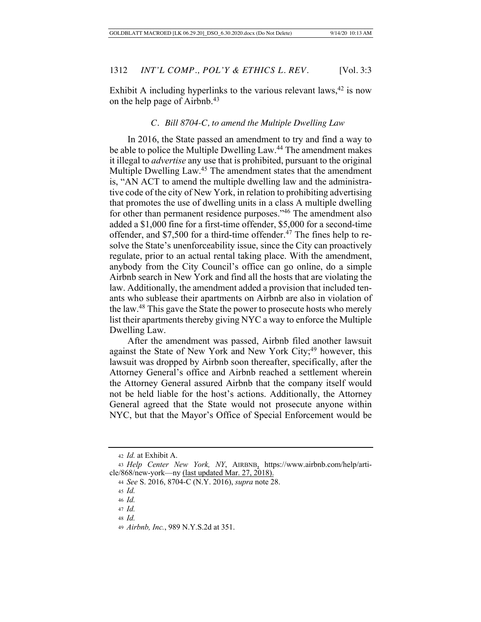Exhibit A including hyperlinks to the various relevant laws,  $42$  is now on the help page of Airbnb.43

#### *C. Bill 8704-C, to amend the Multiple Dwelling Law*

In 2016, the State passed an amendment to try and find a way to be able to police the Multiple Dwelling Law.<sup>44</sup> The amendment makes it illegal to *advertise* any use that is prohibited, pursuant to the original Multiple Dwelling Law.45 The amendment states that the amendment is, "AN ACT to amend the multiple dwelling law and the administrative code of the city of New York, in relation to prohibiting advertising that promotes the use of dwelling units in a class A multiple dwelling for other than permanent residence purposes."<sup>46</sup> The amendment also added a \$1,000 fine for a first-time offender, \$5,000 for a second-time offender, and \$7,500 for a third-time offender.<sup>47</sup> The fines help to resolve the State's unenforceability issue, since the City can proactively regulate, prior to an actual rental taking place. With the amendment, anybody from the City Council's office can go online, do a simple Airbnb search in New York and find all the hosts that are violating the law. Additionally, the amendment added a provision that included tenants who sublease their apartments on Airbnb are also in violation of the law.48 This gave the State the power to prosecute hosts who merely list their apartments thereby giving NYC a way to enforce the Multiple Dwelling Law.

After the amendment was passed, Airbnb filed another lawsuit against the State of New York and New York City;<sup>49</sup> however, this lawsuit was dropped by Airbnb soon thereafter, specifically, after the Attorney General's office and Airbnb reached a settlement wherein the Attorney General assured Airbnb that the company itself would not be held liable for the host's actions. Additionally, the Attorney General agreed that the State would not prosecute anyone within NYC, but that the Mayor's Office of Special Enforcement would be

<sup>42</sup> *Id.* at Exhibit A.

<sup>43</sup> *Help Center New York, NY*, AIRBNB, https://www.airbnb.com/help/article/868/new-york—ny (last updated Mar. 27, 2018).

<sup>44</sup> *See* S. 2016, 8704-C (N.Y. 2016), *supra* note 28.

<sup>45</sup> *Id.*

<sup>46</sup> *Id.*

<sup>47</sup> *Id.*

<sup>48</sup> *Id.*

<sup>49</sup> *Airbnb, Inc.*, 989 N.Y.S.2d at 351.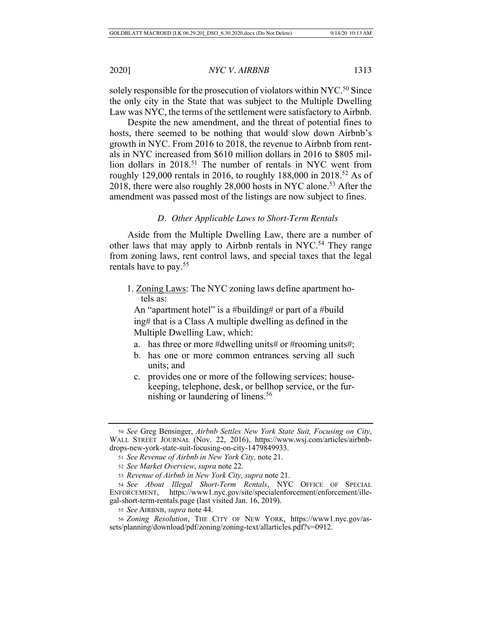solely responsible for the prosecution of violators within NYC.<sup>50</sup> Since the only city in the State that was subject to the Multiple Dwelling Law was NYC, the terms of the settlement were satisfactory to Airbnb.

Despite the new amendment, and the threat of potential fines to hosts, there seemed to be nothing that would slow down Airbnb's growth in NYC. From 2016 to 2018, the revenue to Airbnb from rentals in NYC increased from \$610 million dollars in 2016 to \$805 million dollars in 2018.<sup>51</sup> The number of rentals in NYC went from roughly 129,000 rentals in 2016, to roughly 188,000 in 2018.<sup>52</sup> As of 2018, there were also roughly 28,000 hosts in NYC alone.53 After the amendment was passed most of the listings are now subject to fines.

#### *D. Other Applicable Laws to Short-Term Rentals*

Aside from the Multiple Dwelling Law, there are a number of other laws that may apply to Airbnb rentals in NYC.<sup>54</sup> They range from zoning laws, rent control laws, and special taxes that the legal rentals have to pay.55

1. Zoning Laws: The NYC zoning laws define apartment hotels as:

An "apartment hotel" is a #building# or part of a #build ing# that is a Class A multiple dwelling as defined in the Multiple Dwelling Law, which:

- a. has three or more #dwelling units# or #rooming units#;
- b. has one or more common entrances serving all such units; and
- c. provides one or more of the following services: housekeeping, telephone, desk, or bellhop service, or the furnishing or laundering of linens.<sup>56</sup>

<sup>50</sup> *See* Greg Bensinger, *Airbnb Settles New York State Suit, Focusing on City*, WALL STREET JOURNAL (Nov. 22, 2016), https://www.wsj.com/articles/airbnbdrops-new-york-state-suit-focusing-on-city-1479849933.

<sup>51</sup> *See Revenue of Airbnb in New York City,* note 21.

<sup>52</sup> *See Market Overview*, *supra* note 22.

<sup>53</sup> *Revenue of Airbnb in New York City, supra* note 21.

<sup>54</sup> *See About Illegal Short-Term Rentals*, NYC OFFICE OF SPECIAL ENFORCEMENT, https://www1.nyc.gov/site/specialenforcement/enforcement/illegal-short-term-rentals.page (last visited Jan. 16, 2019).

<sup>55</sup> *See* AIRBNB, *supra* note 44.

<sup>56</sup> *Zoning Resolution*, THE CITY OF NEW YORK, https://www1.nyc.gov/assets/planning/download/pdf/zoning/zoning-text/allarticles.pdf?v=0912.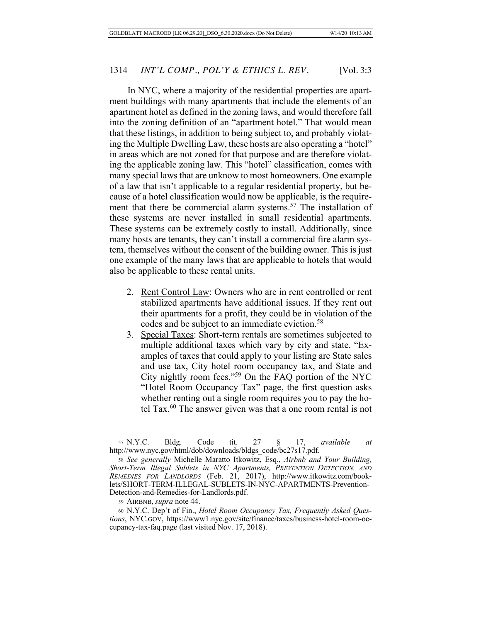In NYC, where a majority of the residential properties are apartment buildings with many apartments that include the elements of an apartment hotel as defined in the zoning laws, and would therefore fall into the zoning definition of an "apartment hotel." That would mean that these listings, in addition to being subject to, and probably violating the Multiple Dwelling Law, these hosts are also operating a "hotel" in areas which are not zoned for that purpose and are therefore violating the applicable zoning law. This "hotel" classification, comes with many special laws that are unknow to most homeowners. One example of a law that isn't applicable to a regular residential property, but because of a hotel classification would now be applicable, is the requirement that there be commercial alarm systems.<sup>57</sup> The installation of these systems are never installed in small residential apartments. These systems can be extremely costly to install. Additionally, since many hosts are tenants, they can't install a commercial fire alarm system, themselves without the consent of the building owner. This is just one example of the many laws that are applicable to hotels that would also be applicable to these rental units.

- 2. Rent Control Law: Owners who are in rent controlled or rent stabilized apartments have additional issues. If they rent out their apartments for a profit, they could be in violation of the codes and be subject to an immediate eviction.<sup>58</sup>
- 3. Special Taxes: Short-term rentals are sometimes subjected to multiple additional taxes which vary by city and state. "Examples of taxes that could apply to your listing are State sales and use tax, City hotel room occupancy tax, and State and City nightly room fees."59 On the FAQ portion of the NYC "Hotel Room Occupancy Tax" page, the first question asks whether renting out a single room requires you to pay the hotel Tax. $60$  The answer given was that a one room rental is not

<sup>57</sup> N.Y.C. Bldg. Code tit. 27 § 17, *available at* http://www.nyc.gov/html/dob/downloads/bldgs\_code/bc27s17.pdf.

<sup>58</sup> *See generally* Michelle Maratto Itkowitz, Esq., *Airbnb and Your Building, Short-Term Illegal Sublets in NYC Apartments, PREVENTION DETECTION, AND REMEDIES FOR LANDLORDS* (Feb. 21, 2017), http://www.itkowitz.com/booklets/SHORT-TERM-ILLEGAL-SUBLETS-IN-NYC-APARTMENTS-Prevention-Detection-and-Remedies-for-Landlords.pdf.

<sup>59</sup> AIRBNB, *supra* note 44.

<sup>60</sup> N.Y.C. Dep't of Fin., *Hotel Room Occupancy Tax, Frequently Asked Questions*, NYC.GOV, https://www1.nyc.gov/site/finance/taxes/business-hotel-room-occupancy-tax-faq.page (last visited Nov. 17, 2018).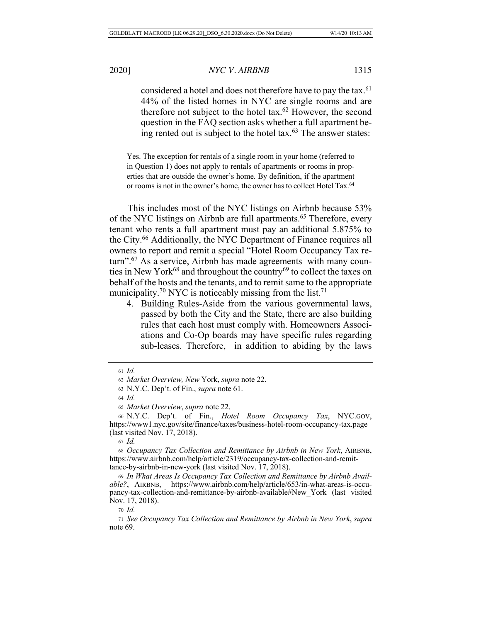considered a hotel and does not therefore have to pay the tax.<sup>61</sup> 44% of the listed homes in NYC are single rooms and are therefore not subject to the hotel tax. $62$  However, the second question in the FAQ section asks whether a full apartment being rented out is subject to the hotel tax. $63$  The answer states:

Yes. The exception for rentals of a single room in your home (referred to in Question 1) does not apply to rentals of apartments or rooms in properties that are outside the owner's home. By definition, if the apartment or rooms is not in the owner's home, the owner has to collect Hotel Tax.<sup>64</sup>

This includes most of the NYC listings on Airbnb because 53% of the NYC listings on Airbnb are full apartments.<sup>65</sup> Therefore, every tenant who rents a full apartment must pay an additional 5.875% to the City.66 Additionally, the NYC Department of Finance requires all owners to report and remit a special "Hotel Room Occupancy Tax return".<sup>67</sup> As a service, Airbnb has made agreements with many counties in New York<sup>68</sup> and throughout the country<sup>69</sup> to collect the taxes on behalf of the hosts and the tenants, and to remit same to the appropriate municipality.<sup>70</sup> NYC is noticeably missing from the list.<sup>71</sup>

4. Building Rules-Aside from the various governmental laws, passed by both the City and the State, there are also building rules that each host must comply with. Homeowners Associations and Co-Op boards may have specific rules regarding sub-leases. Therefore, in addition to abiding by the laws

<sup>61</sup> *Id.*

<sup>62</sup> *Market Overview, New* York, *supra* note 22.

<sup>63</sup> N.Y.C. Dep't. of Fin., *supra* note 61.

<sup>64</sup> *Id.*

<sup>65</sup> *Market Overview*, *supra* note 22.

<sup>66</sup> N.Y.C. Dep't. of Fin., *Hotel Room Occupancy Tax*, NYC.GOV, https://www1.nyc.gov/site/finance/taxes/business-hotel-room-occupancy-tax.page (last visited Nov. 17, 2018).

<sup>67</sup> *Id.*

<sup>68</sup> *Occupancy Tax Collection and Remittance by Airbnb in New York*, AIRBNB, https://www.airbnb.com/help/article/2319/occupancy-tax-collection-and-remittance-by-airbnb-in-new-york (last visited Nov. 17, 2018).

<sup>69</sup> *In What Areas Is Occupancy Tax Collection and Remittance by Airbnb Available?*, AIRBNB, https://www.airbnb.com/help/article/653/in-what-areas-is-occupancy-tax-collection-and-remittance-by-airbnb-available#New\_York (last visited Nov. 17, 2018).

<sup>70</sup> *Id.*

<sup>71</sup> *See Occupancy Tax Collection and Remittance by Airbnb in New York*, *supra*  note 69.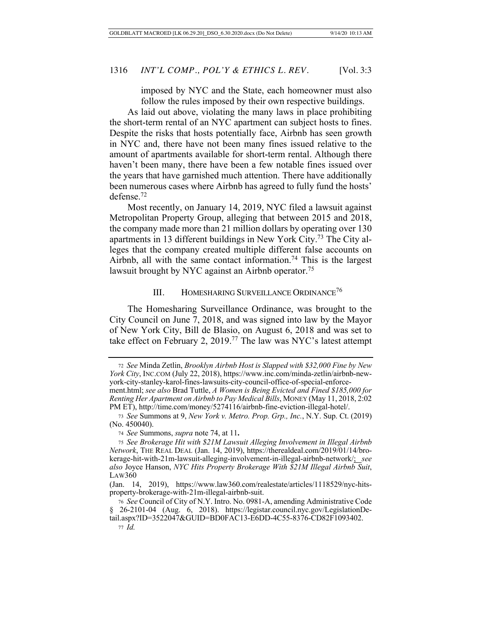imposed by NYC and the State, each homeowner must also follow the rules imposed by their own respective buildings.

As laid out above, violating the many laws in place prohibiting the short-term rental of an NYC apartment can subject hosts to fines. Despite the risks that hosts potentially face, Airbnb has seen growth in NYC and, there have not been many fines issued relative to the amount of apartments available for short-term rental. Although there haven't been many, there have been a few notable fines issued over the years that have garnished much attention. There have additionally been numerous cases where Airbnb has agreed to fully fund the hosts' defense.72

Most recently, on January 14, 2019, NYC filed a lawsuit against Metropolitan Property Group, alleging that between 2015 and 2018, the company made more than 21 million dollars by operating over 130 apartments in 13 different buildings in New York City.73 The City alleges that the company created multiple different false accounts on Airbnb, all with the same contact information.<sup>74</sup> This is the largest lawsuit brought by NYC against an Airbnb operator.<sup>75</sup>

#### III. HOMESHARING SURVEILLANCE ORDINANCE<sup>76</sup>

The Homesharing Surveillance Ordinance, was brought to the City Council on June 7, 2018, and was signed into law by the Mayor of New York City, Bill de Blasio, on August 6, 2018 and was set to take effect on February 2, 2019.77 The law was NYC's latest attempt

<sup>72</sup> *See* Minda Zetlin, *Brooklyn Airbnb Host is Slapped with \$32,000 Fine by New York City*, INC.COM (July 22, 2018), https://www.inc.com/minda-zetlin/airbnb-newyork-city-stanley-karol-fines-lawsuits-city-council-office-of-special-enforcement.html; *see also* Brad Tuttle, *A Women is Being Evicted and Fined \$185,000 for* 

*Renting Her Apartment on Airbnb to Pay Medical Bills*, MONEY (May 11, 2018, 2:02 PM ET), http://time.com/money/5274116/airbnb-fine-eviction-illegal-hotel/.

<sup>73</sup> *See* Summons at 9, *New York v. Metro. Prop. Grp., Inc.*, N.Y. Sup. Ct. (2019) (No. 450040).

<sup>74</sup> *See* Summons, *supra* note 74, at 11**.** 

<sup>75</sup> *See Brokerage Hit with \$21M Lawsuit Alleging Involvement in Illegal Airbnb Network*, THE REAL DEAL (Jan. 14, 2019), https://therealdeal.com/2019/01/14/brokerage-hit-with-21m-lawsuit-alleging-involvement-in-illegal-airbnb-network/; *see also* Joyce Hanson, *NYC Hits Property Brokerage With \$21M Illegal Airbnb Suit*, LAW360

<sup>(</sup>Jan. 14, 2019), https://www.law360.com/realestate/articles/1118529/nyc-hitsproperty-brokerage-with-21m-illegal-airbnb-suit.

<sup>76</sup> *See* Council of City of N.Y. Intro. No. 0981-A, amending Administrative Code § 26-2101-04 (Aug. 6, 2018). https://legistar.council.nyc.gov/LegislationDetail.aspx?ID=3522047&GUID=BD0FAC13-E6DD-4C55-8376-CD82F1093402. <sup>77</sup> *Id.*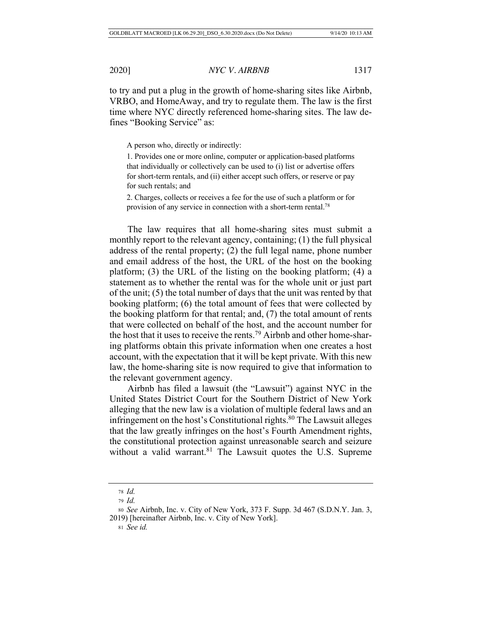to try and put a plug in the growth of home-sharing sites like Airbnb, VRBO, and HomeAway, and try to regulate them. The law is the first time where NYC directly referenced home-sharing sites. The law defines "Booking Service" as:

A person who, directly or indirectly:

1. Provides one or more online, computer or application-based platforms that individually or collectively can be used to (i) list or advertise offers for short-term rentals, and (ii) either accept such offers, or reserve or pay for such rentals; and

2. Charges, collects or receives a fee for the use of such a platform or for provision of any service in connection with a short-term rental.<sup>78</sup>

The law requires that all home-sharing sites must submit a monthly report to the relevant agency, containing; (1) the full physical address of the rental property; (2) the full legal name, phone number and email address of the host, the URL of the host on the booking platform; (3) the URL of the listing on the booking platform; (4) a statement as to whether the rental was for the whole unit or just part of the unit; (5) the total number of days that the unit was rented by that booking platform; (6) the total amount of fees that were collected by the booking platform for that rental; and, (7) the total amount of rents that were collected on behalf of the host, and the account number for the host that it uses to receive the rents.79 Airbnb and other home-sharing platforms obtain this private information when one creates a host account, with the expectation that it will be kept private. With this new law, the home-sharing site is now required to give that information to the relevant government agency.

Airbnb has filed a lawsuit (the "Lawsuit") against NYC in the United States District Court for the Southern District of New York alleging that the new law is a violation of multiple federal laws and an infringement on the host's Constitutional rights.<sup>80</sup> The Lawsuit alleges that the law greatly infringes on the host's Fourth Amendment rights, the constitutional protection against unreasonable search and seizure without a valid warrant.<sup>81</sup> The Lawsuit quotes the U.S. Supreme

<sup>81</sup> *See id.*

<sup>78</sup> *Id.*

<sup>79</sup> *Id.*

<sup>80</sup> *See* Airbnb, Inc. v. City of New York, 373 F. Supp. 3d 467 (S.D.N.Y. Jan. 3, 2019) [hereinafter Airbnb, Inc. v. City of New York].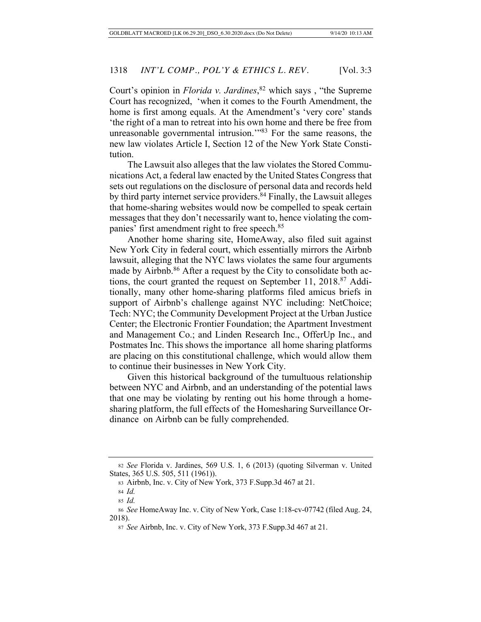Court's opinion in *Florida v. Jardines*, 82 which says , "the Supreme Court has recognized, 'when it comes to the Fourth Amendment, the home is first among equals. At the Amendment's 'very core' stands 'the right of a man to retreat into his own home and there be free from unreasonable governmental intrusion."<sup>83</sup> For the same reasons, the new law violates Article I, Section 12 of the New York State Constitution.

The Lawsuit also alleges that the law violates the Stored Communications Act, a federal law enacted by the United States Congress that sets out regulations on the disclosure of personal data and records held by third party internet service providers.<sup>84</sup> Finally, the Lawsuit alleges that home-sharing websites would now be compelled to speak certain messages that they don't necessarily want to, hence violating the companies' first amendment right to free speech.85

Another home sharing site, HomeAway, also filed suit against New York City in federal court, which essentially mirrors the Airbnb lawsuit, alleging that the NYC laws violates the same four arguments made by Airbnb.<sup>86</sup> After a request by the City to consolidate both actions, the court granted the request on September 11, 2018.87 Additionally, many other home-sharing platforms filed amicus briefs in support of Airbnb's challenge against NYC including: NetChoice; Tech: NYC; the Community Development Project at the Urban Justice Center; the Electronic Frontier Foundation; the Apartment Investment and Management Co.; and Linden Research Inc., OfferUp Inc., and Postmates Inc. This shows the importance all home sharing platforms are placing on this constitutional challenge, which would allow them to continue their businesses in New York City.

Given this historical background of the tumultuous relationship between NYC and Airbnb, and an understanding of the potential laws that one may be violating by renting out his home through a homesharing platform, the full effects of the Homesharing Surveillance Ordinance on Airbnb can be fully comprehended.

<sup>82</sup> *See* Florida v. Jardines, 569 U.S. 1, 6 (2013) (quoting Silverman v. United States, 365 U.S. 505, 511 (1961)).

<sup>83</sup> Airbnb, Inc. v. City of New York, 373 F.Supp.3d 467 at 21.

<sup>84</sup> *Id.*

<sup>85</sup> *Id.*

<sup>86</sup> *See* HomeAway Inc. v. City of New York, Case 1:18-cv-07742 (filed Aug. 24, 2018).

<sup>87</sup> *See* Airbnb, Inc. v. City of New York, 373 F.Supp.3d 467 at 21.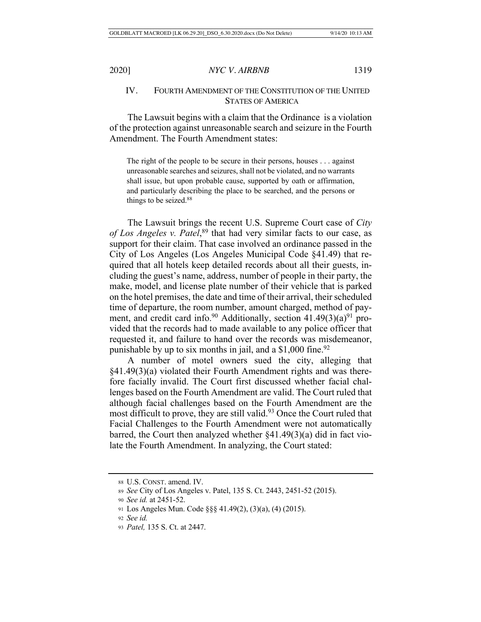# IV. FOURTH AMENDMENT OF THE CONSTITUTION OF THE UNITED STATES OF AMERICA

The Lawsuit begins with a claim that the Ordinance is a violation of the protection against unreasonable search and seizure in the Fourth Amendment. The Fourth Amendment states:

The right of the people to be secure in their persons, houses . . . against unreasonable searches and seizures, shall not be violated, and no warrants shall issue, but upon probable cause, supported by oath or affirmation, and particularly describing the place to be searched, and the persons or things to be seized.<sup>88</sup>

The Lawsuit brings the recent U.S. Supreme Court case of *City of Los Angeles v. Patel*, 89 that had very similar facts to our case, as support for their claim. That case involved an ordinance passed in the City of Los Angeles (Los Angeles Municipal Code §41.49) that required that all hotels keep detailed records about all their guests, including the guest's name, address, number of people in their party, the make, model, and license plate number of their vehicle that is parked on the hotel premises, the date and time of their arrival, their scheduled time of departure, the room number, amount charged, method of payment, and credit card info.<sup>90</sup> Additionally, section  $41.49(3)(a)^{91}$  provided that the records had to made available to any police officer that requested it, and failure to hand over the records was misdemeanor, punishable by up to six months in jail, and a  $$1,000$  fine.<sup>92</sup>

A number of motel owners sued the city, alleging that §41.49(3)(a) violated their Fourth Amendment rights and was therefore facially invalid. The Court first discussed whether facial challenges based on the Fourth Amendment are valid. The Court ruled that although facial challenges based on the Fourth Amendment are the most difficult to prove, they are still valid.<sup>93</sup> Once the Court ruled that Facial Challenges to the Fourth Amendment were not automatically barred, the Court then analyzed whether §41.49(3)(a) did in fact violate the Fourth Amendment. In analyzing, the Court stated:

<sup>88</sup> U.S. CONST. amend. IV.

<sup>89</sup> *See* City of Los Angeles v. Patel, 135 S. Ct. 2443, 2451-52 (2015).

<sup>90</sup> *See id.* at 2451-52.

<sup>91</sup> Los Angeles Mun. Code §§§ 41.49(2), (3)(a), (4) (2015).

<sup>92</sup> *See id.*

<sup>93</sup> *Patel,* 135 S. Ct. at 2447.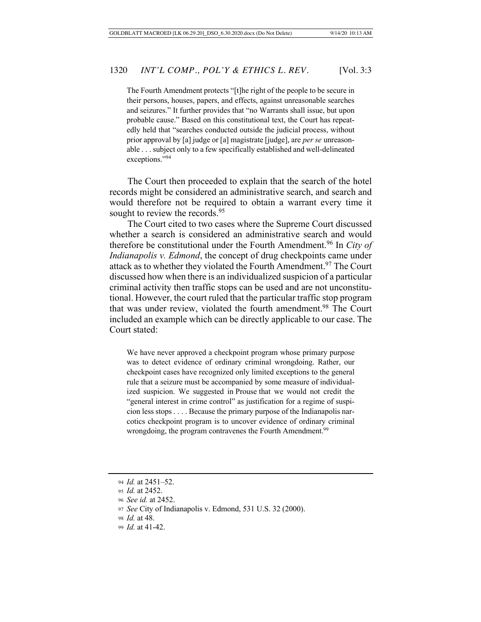The Fourth Amendment protects "[t]he right of the people to be secure in their persons, houses, papers, and effects, against unreasonable searches and seizures." It further provides that "no Warrants shall issue, but upon probable cause." Based on this constitutional text, the Court has repeatedly held that "searches conducted outside the judicial process, without prior approval by [a] judge or [a] magistrate [judge], are *per se* unreasonable . . . subject only to a few specifically established and well-delineated exceptions."94

The Court then proceeded to explain that the search of the hotel records might be considered an administrative search, and search and would therefore not be required to obtain a warrant every time it sought to review the records.<sup>95</sup>

The Court cited to two cases where the Supreme Court discussed whether a search is considered an administrative search and would therefore be constitutional under the Fourth Amendment.96 In *City of Indianapolis v. Edmond*, the concept of drug checkpoints came under attack as to whether they violated the Fourth Amendment.<sup>97</sup> The Court discussed how when there is an individualized suspicion of a particular criminal activity then traffic stops can be used and are not unconstitutional. However, the court ruled that the particular traffic stop program that was under review, violated the fourth amendment.<sup>98</sup> The Court included an example which can be directly applicable to our case. The Court stated:

We have never approved a checkpoint program whose primary purpose was to detect evidence of ordinary criminal wrongdoing. Rather, our checkpoint cases have recognized only limited exceptions to the general rule that a seizure must be accompanied by some measure of individualized suspicion. We suggested in Prouse that we would not credit the "general interest in crime control" as justification for a regime of suspicion less stops . . . . Because the primary purpose of the Indianapolis narcotics checkpoint program is to uncover evidence of ordinary criminal wrongdoing, the program contravenes the Fourth Amendment.<sup>99</sup>

<sup>94</sup> *Id.* at 2451–52.

<sup>95</sup> *Id.* at 2452.

<sup>96</sup> *See id.* at 2452.

<sup>97</sup> *See* City of Indianapolis v. Edmond, 531 U.S. 32 (2000).

<sup>98</sup> *Id.* at 48.

<sup>99</sup> *Id.* at 41-42.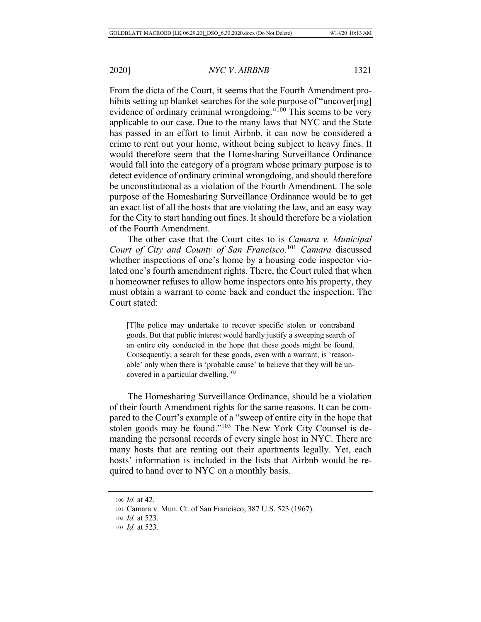From the dicta of the Court, it seems that the Fourth Amendment prohibits setting up blanket searches for the sole purpose of "uncover[ing] evidence of ordinary criminal wrongdoing."<sup>100</sup> This seems to be very applicable to our case. Due to the many laws that NYC and the State has passed in an effort to limit Airbnb, it can now be considered a crime to rent out your home, without being subject to heavy fines. It would therefore seem that the Homesharing Surveillance Ordinance would fall into the category of a program whose primary purpose is to detect evidence of ordinary criminal wrongdoing, and should therefore be unconstitutional as a violation of the Fourth Amendment. The sole purpose of the Homesharing Surveillance Ordinance would be to get an exact list of all the hosts that are violating the law, and an easy way for the City to start handing out fines. It should therefore be a violation of the Fourth Amendment.

The other case that the Court cites to is *Camara v. Municipal Court of City and County of San Francisco*. <sup>101</sup> *Camara* discussed whether inspections of one's home by a housing code inspector violated one's fourth amendment rights. There, the Court ruled that when a homeowner refuses to allow home inspectors onto his property, they must obtain a warrant to come back and conduct the inspection. The Court stated:

[T]he police may undertake to recover specific stolen or contraband goods. But that public interest would hardly justify a sweeping search of an entire city conducted in the hope that these goods might be found. Consequently, a search for these goods, even with a warrant, is 'reasonable' only when there is 'probable cause' to believe that they will be uncovered in a particular dwelling. $102$ 

The Homesharing Surveillance Ordinance, should be a violation of their fourth Amendment rights for the same reasons. It can be compared to the Court's example of a "sweep of entire city in the hope that stolen goods may be found."103 The New York City Counsel is demanding the personal records of every single host in NYC. There are many hosts that are renting out their apartments legally. Yet, each hosts' information is included in the lists that Airbnb would be required to hand over to NYC on a monthly basis.

<sup>100</sup> *Id.* at 42.

<sup>101</sup> Camara v. Mun. Ct. of San Francisco, 387 U.S. 523 (1967).

<sup>102</sup> *Id.* at 523.

<sup>103</sup> *Id.* at 523.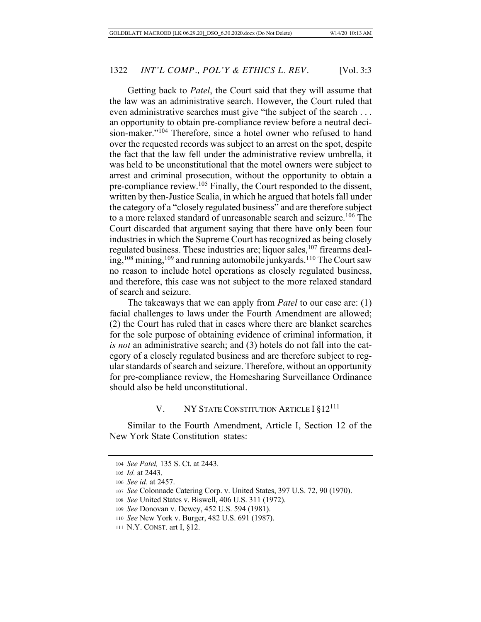Getting back to *Patel*, the Court said that they will assume that the law was an administrative search. However, the Court ruled that even administrative searches must give "the subject of the search . . . an opportunity to obtain pre-compliance review before a neutral decision-maker."104 Therefore, since a hotel owner who refused to hand over the requested records was subject to an arrest on the spot, despite the fact that the law fell under the administrative review umbrella, it was held to be unconstitutional that the motel owners were subject to arrest and criminal prosecution, without the opportunity to obtain a pre-compliance review.105 Finally, the Court responded to the dissent, written by then-Justice Scalia, in which he argued that hotels fall under the category of a "closely regulated business" and are therefore subject to a more relaxed standard of unreasonable search and seizure.<sup>106</sup> The Court discarded that argument saying that there have only been four industries in which the Supreme Court has recognized as being closely regulated business. These industries are; liquor sales,  $107$  firearms dealing,  $108$  mining,  $109$  and running automobile junkyards.  $110$  The Court saw no reason to include hotel operations as closely regulated business, and therefore, this case was not subject to the more relaxed standard of search and seizure.

The takeaways that we can apply from *Patel* to our case are: (1) facial challenges to laws under the Fourth Amendment are allowed; (2) the Court has ruled that in cases where there are blanket searches for the sole purpose of obtaining evidence of criminal information, it *is not* an administrative search; and (3) hotels do not fall into the category of a closely regulated business and are therefore subject to regular standards of search and seizure. Therefore, without an opportunity for pre-compliance review, the Homesharing Surveillance Ordinance should also be held unconstitutional.

#### V. NY STATE CONSTITUTION ARTICLE I §12<sup>111</sup>

Similar to the Fourth Amendment, Article I, Section 12 of the New York State Constitution states:

<sup>104</sup> *See Patel,* 135 S. Ct. at 2443.

<sup>105</sup> *Id.* at 2443.

<sup>106</sup> *See id.* at 2457.

<sup>107</sup> *See* Colonnade Catering Corp. v. United States, 397 U.S. 72, 90 (1970).

<sup>108</sup> *See* United States v. Biswell, 406 U.S. 311 (1972).

<sup>109</sup> *See* Donovan v. Dewey, 452 U.S. 594 (1981).

<sup>110</sup> *See* New York v. Burger, 482 U.S. 691 (1987).

<sup>111</sup> N.Y. CONST. art I, §12.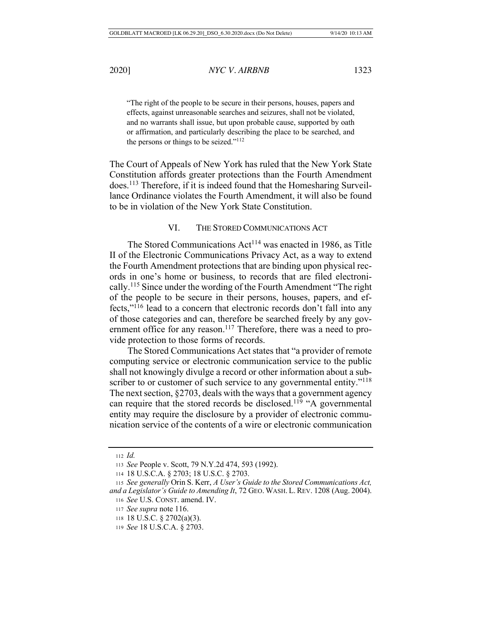"The right of the people to be secure in their persons, houses, papers and effects, against unreasonable searches and seizures, shall not be violated, and no warrants shall issue, but upon probable cause, supported by oath or affirmation, and particularly describing the place to be searched, and the persons or things to be seized."112

The Court of Appeals of New York has ruled that the New York State Constitution affords greater protections than the Fourth Amendment does.113 Therefore, if it is indeed found that the Homesharing Surveillance Ordinance violates the Fourth Amendment, it will also be found to be in violation of the New York State Constitution.

# VI. THE STORED COMMUNICATIONS ACT

The Stored Communications  $Act<sup>114</sup>$  was enacted in 1986, as Title II of the Electronic Communications Privacy Act, as a way to extend the Fourth Amendment protections that are binding upon physical records in one's home or business, to records that are filed electronically.115 Since under the wording of the Fourth Amendment "The right of the people to be secure in their persons, houses, papers, and effects,"116 lead to a concern that electronic records don't fall into any of those categories and can, therefore be searched freely by any government office for any reason.<sup>117</sup> Therefore, there was a need to provide protection to those forms of records.

The Stored Communications Act states that "a provider of remote computing service or electronic communication service to the public shall not knowingly divulge a record or other information about a subscriber to or customer of such service to any governmental entity."<sup>118</sup> The next section, §2703, deals with the ways that a government agency can require that the stored records be disclosed.<sup>119</sup> "A governmental entity may require the disclosure by a provider of electronic communication service of the contents of a wire or electronic communication

<sup>112</sup> *Id.*

<sup>113</sup> *See* People v. Scott, 79 N.Y.2d 474, 593 (1992).

<sup>114</sup> 18 U.S.C.A. § 2703; 18 U.S.C. § 2703.

<sup>115</sup> *See generally* Orin S. Kerr, *A User's Guide to the Stored Communications Act, and a Legislator's Guide to Amending It*, 72 GEO. WASH. L.REV. 1208 (Aug. 2004). <sup>116</sup> *See* U.S. CONST. amend. IV.

<sup>117</sup> *See supra* note 116.

<sup>118</sup> 18 U.S.C. § 2702(a)(3).

<sup>119</sup> *See* 18 U.S.C.A. § 2703.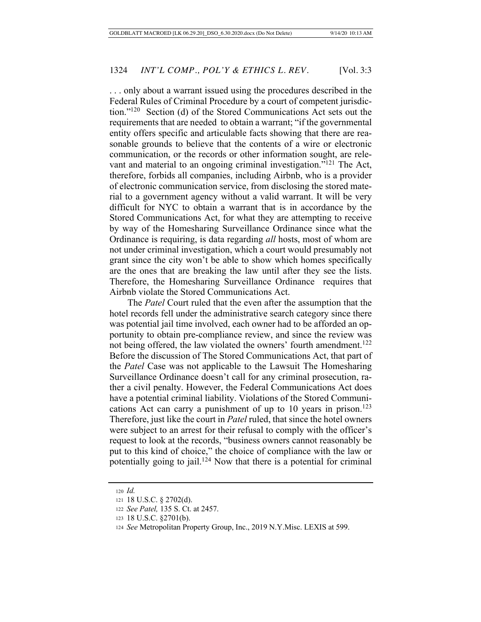. . . only about a warrant issued using the procedures described in the Federal Rules of Criminal Procedure by a court of competent jurisdiction."120 Section (d) of the Stored Communications Act sets out the requirements that are needed to obtain a warrant; "if the governmental entity offers specific and articulable facts showing that there are reasonable grounds to believe that the contents of a wire or electronic communication, or the records or other information sought, are relevant and material to an ongoing criminal investigation."121 The Act, therefore, forbids all companies, including Airbnb, who is a provider of electronic communication service, from disclosing the stored material to a government agency without a valid warrant. It will be very difficult for NYC to obtain a warrant that is in accordance by the Stored Communications Act, for what they are attempting to receive by way of the Homesharing Surveillance Ordinance since what the Ordinance is requiring, is data regarding *all* hosts, most of whom are not under criminal investigation, which a court would presumably not grant since the city won't be able to show which homes specifically are the ones that are breaking the law until after they see the lists. Therefore, the Homesharing Surveillance Ordinance requires that Airbnb violate the Stored Communications Act.

The *Patel* Court ruled that the even after the assumption that the hotel records fell under the administrative search category since there was potential jail time involved, each owner had to be afforded an opportunity to obtain pre-compliance review, and since the review was not being offered, the law violated the owners' fourth amendment.<sup>122</sup> Before the discussion of The Stored Communications Act, that part of the *Patel* Case was not applicable to the Lawsuit The Homesharing Surveillance Ordinance doesn't call for any criminal prosecution, rather a civil penalty. However, the Federal Communications Act does have a potential criminal liability. Violations of the Stored Communications Act can carry a punishment of up to 10 years in prison.<sup>123</sup> Therefore, just like the court in *Patel* ruled, that since the hotel owners were subject to an arrest for their refusal to comply with the officer's request to look at the records, "business owners cannot reasonably be put to this kind of choice," the choice of compliance with the law or potentially going to jail.<sup>124</sup> Now that there is a potential for criminal

<sup>120</sup> *Id.*

<sup>121</sup> 18 U.S.C. § 2702(d).

<sup>122</sup> *See Patel,* 135 S. Ct. at 2457.

<sup>123</sup> 18 U.S.C. §2701(b).

<sup>124</sup> *See* Metropolitan Property Group, Inc., 2019 N.Y.Misc. LEXIS at 599.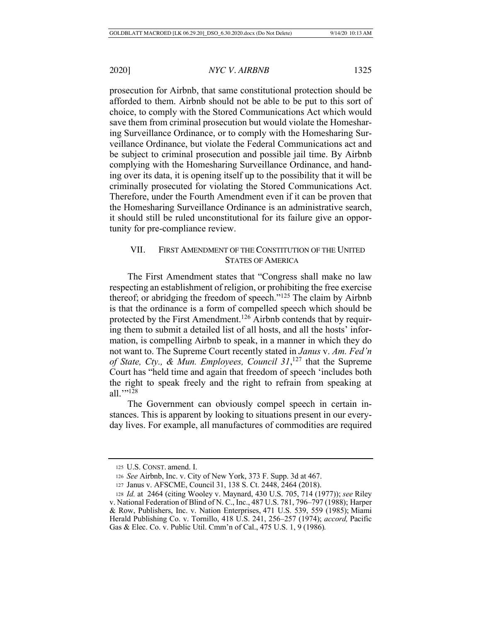prosecution for Airbnb, that same constitutional protection should be afforded to them. Airbnb should not be able to be put to this sort of choice, to comply with the Stored Communications Act which would save them from criminal prosecution but would violate the Homesharing Surveillance Ordinance, or to comply with the Homesharing Surveillance Ordinance, but violate the Federal Communications act and be subject to criminal prosecution and possible jail time. By Airbnb complying with the Homesharing Surveillance Ordinance, and handing over its data, it is opening itself up to the possibility that it will be criminally prosecuted for violating the Stored Communications Act. Therefore, under the Fourth Amendment even if it can be proven that the Homesharing Surveillance Ordinance is an administrative search, it should still be ruled unconstitutional for its failure give an opportunity for pre-compliance review.

# VII. FIRST AMENDMENT OF THE CONSTITUTION OF THE UNITED STATES OF AMERICA

The First Amendment states that "Congress shall make no law respecting an establishment of religion, or prohibiting the free exercise thereof; or abridging the freedom of speech."125 The claim by Airbnb is that the ordinance is a form of compelled speech which should be protected by the First Amendment.<sup>126</sup> Airbnb contends that by requiring them to submit a detailed list of all hosts, and all the hosts' information, is compelling Airbnb to speak, in a manner in which they do not want to. The Supreme Court recently stated in *Janus* v. *Am. Fed'n of State, Cty., & Mun. Employees, Council 31*, <sup>127</sup> that the Supreme Court has "held time and again that freedom of speech 'includes both the right to speak freely and the right to refrain from speaking at all.""<sup>128</sup>

The Government can obviously compel speech in certain instances. This is apparent by looking to situations present in our everyday lives. For example, all manufactures of commodities are required

<sup>125</sup> U.S. CONST. amend. I.

<sup>126</sup> *See* Airbnb, Inc. v. City of New York, 373 F. Supp. 3d at 467.

<sup>127</sup> Janus v. AFSCME, Council 31, 138 S. Ct. 2448, 2464 (2018).

<sup>128</sup> *Id.* at 2464 (citing Wooley v. Maynard, 430 U.S. 705, 714 (1977)); *see* Riley v. National Federation of Blind of N. C., Inc., 487 U.S. 781, 796–797 (1988); Harper & Row, Publishers, Inc. v. Nation Enterprises, 471 U.S. 539, 559 (1985); Miami Herald Publishing Co. v. Tornillo, 418 U.S. 241, 256–257 (1974); *accord,* Pacific Gas & Elec. Co. v. Public Util. Cmm'n of Cal., 475 U.S. 1, 9 (1986)*.*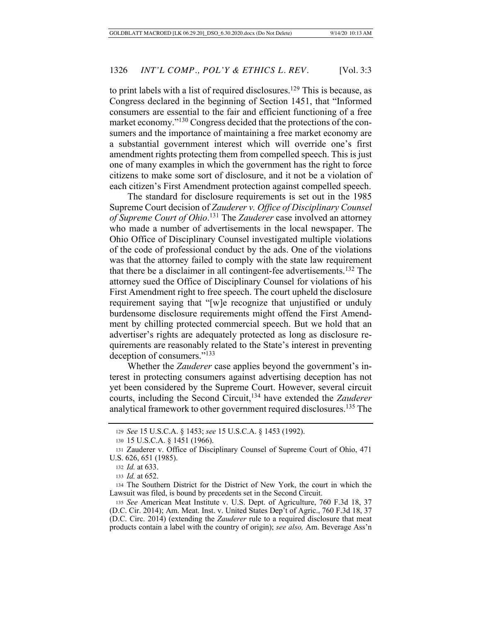to print labels with a list of required disclosures.<sup>129</sup> This is because, as Congress declared in the beginning of Section 1451, that "Informed consumers are essential to the fair and efficient functioning of a free market economy."<sup>130</sup> Congress decided that the protections of the consumers and the importance of maintaining a free market economy are a substantial government interest which will override one's first amendment rights protecting them from compelled speech. This is just one of many examples in which the government has the right to force citizens to make some sort of disclosure, and it not be a violation of each citizen's First Amendment protection against compelled speech.

The standard for disclosure requirements is set out in the 1985 Supreme Court decision of *Zauderer v. Office of Disciplinary Counsel of Supreme Court of Ohio*. 131 The *Zauderer* case involved an attorney who made a number of advertisements in the local newspaper. The Ohio Office of Disciplinary Counsel investigated multiple violations of the code of professional conduct by the ads. One of the violations was that the attorney failed to comply with the state law requirement that there be a disclaimer in all contingent-fee advertisements.132 The attorney sued the Office of Disciplinary Counsel for violations of his First Amendment right to free speech. The court upheld the disclosure requirement saying that "[w]e recognize that unjustified or unduly burdensome disclosure requirements might offend the First Amendment by chilling protected commercial speech. But we hold that an advertiser's rights are adequately protected as long as disclosure requirements are reasonably related to the State's interest in preventing deception of consumers."133

Whether the *Zauderer* case applies beyond the government's interest in protecting consumers against advertising deception has not yet been considered by the Supreme Court. However, several circuit courts, including the Second Circuit,134 have extended the *Zauderer* analytical framework to other government required disclosures.135 The

<sup>129</sup> *See* 15 U.S.C.A. § 1453; *see* 15 U.S.C.A. § 1453 (1992).

<sup>130</sup> 15 U.S.C.A. § 1451 (1966).

<sup>131</sup> Zauderer v. Office of Disciplinary Counsel of Supreme Court of Ohio, 471 U.S. 626, 651 (1985).

<sup>132</sup> *Id.* at 633.

<sup>133</sup> *Id.* at 652.

<sup>134</sup> The Southern District for the District of New York, the court in which the Lawsuit was filed, is bound by precedents set in the Second Circuit.

<sup>135</sup> *See* American Meat Institute v. U.S. Dept. of Agriculture, 760 F.3d 18, 37 (D.C. Cir. 2014); Am. Meat. Inst. v. United States Dep't of Agric., 760 F.3d 18, 37 (D.C. Circ. 2014) (extending the *Zauderer* rule to a required disclosure that meat products contain a label with the country of origin); *see also,* Am. Beverage Ass'n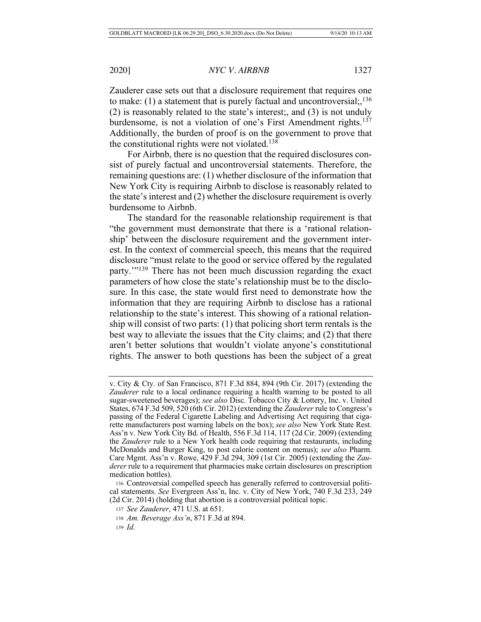Zauderer case sets out that a disclosure requirement that requires one to make: (1) a statement that is purely factual and uncontroversial;, $^{136}$ (2) is reasonably related to the state's interest;, and (3) is not unduly burdensome, is not a violation of one's First Amendment rights.<sup>137</sup> Additionally, the burden of proof is on the government to prove that the constitutional rights were not violated.<sup>138</sup>

For Airbnb, there is no question that the required disclosures consist of purely factual and uncontroversial statements. Therefore, the remaining questions are: (1) whether disclosure of the information that New York City is requiring Airbnb to disclose is reasonably related to the state's interest and (2) whether the disclosure requirement is overly burdensome to Airbnb.

The standard for the reasonable relationship requirement is that "the government must demonstrate that there is a 'rational relationship' between the disclosure requirement and the government interest. In the context of commercial speech, this means that the required disclosure "must relate to the good or service offered by the regulated party.'"139 There has not been much discussion regarding the exact parameters of how close the state's relationship must be to the disclosure. In this case, the state would first need to demonstrate how the information that they are requiring Airbnb to disclose has a rational relationship to the state's interest. This showing of a rational relationship will consist of two parts: (1) that policing short term rentals is the best way to alleviate the issues that the City claims; and (2) that there aren't better solutions that wouldn't violate anyone's constitutional rights. The answer to both questions has been the subject of a great

v. City & Cty. of San Francisco, 871 F.3d 884, 894 (9th Cir. 2017) (extending the *Zauderer* rule to a local ordinance requiring a health warning to be posted to all sugar-sweetened beverages); *see also* Disc. Tobacco City & Lottery, Inc. v. United States, 674 F.3d 509, 520 (6th Cir. 2012) (extending the *Zauderer* rule to Congress's passing of the Federal Cigarette Labeling and Advertising Act requiring that cigarette manufacturers post warning labels on the box); *see also* New York State Rest. Ass'n v. New York City Bd. of Health, 556 F.3d 114, 117 (2d Cir. 2009) (extending the *Zauderer* rule to a New York health code requiring that restaurants, including McDonalds and Burger King, to post calorie content on menus); *see also* Pharm. Care Mgmt. Ass'n v. Rowe, 429 F.3d 294, 309 (1st Cir. 2005) (extending the *Zauderer* rule to a requirement that pharmacies make certain disclosures on prescription medication bottles).

<sup>136</sup> Controversial compelled speech has generally referred to controversial political statements. *See* Evergreen Ass'n, Inc. v. City of New York, 740 F.3d 233, 249 (2d Cir. 2014) (holding that abortion is a controversial political topic.

<sup>137</sup> *See Zauderer*, 471 U.S. at 651.

<sup>138</sup> *Am. Beverage Ass'n*, 871 F.3d at 894.

<sup>139</sup> *Id.*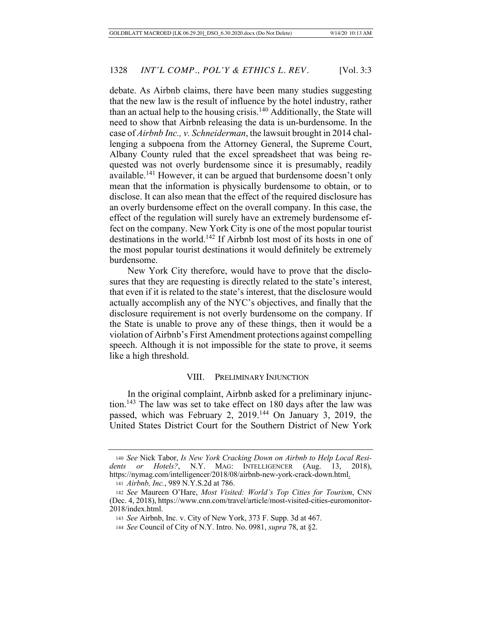debate. As Airbnb claims, there have been many studies suggesting that the new law is the result of influence by the hotel industry, rather than an actual help to the housing crisis.<sup>140</sup> Additionally, the State will need to show that Airbnb releasing the data is un-burdensome. In the case of *Airbnb Inc., v. Schneiderman*, the lawsuit brought in 2014 challenging a subpoena from the Attorney General, the Supreme Court, Albany County ruled that the excel spreadsheet that was being requested was not overly burdensome since it is presumably, readily available.<sup>141</sup> However, it can be argued that burdensome doesn't only mean that the information is physically burdensome to obtain, or to disclose. It can also mean that the effect of the required disclosure has an overly burdensome effect on the overall company. In this case, the effect of the regulation will surely have an extremely burdensome effect on the company. New York City is one of the most popular tourist destinations in the world.142 If Airbnb lost most of its hosts in one of the most popular tourist destinations it would definitely be extremely burdensome.

New York City therefore, would have to prove that the disclosures that they are requesting is directly related to the state's interest, that even if it is related to the state's interest, that the disclosure would actually accomplish any of the NYC's objectives, and finally that the disclosure requirement is not overly burdensome on the company. If the State is unable to prove any of these things, then it would be a violation of Airbnb's First Amendment protections against compelling speech. Although it is not impossible for the state to prove, it seems like a high threshold.

#### VIII. PRELIMINARY INJUNCTION

In the original complaint, Airbnb asked for a preliminary injunction.143 The law was set to take effect on 180 days after the law was passed, which was February 2, 2019.144 On January 3, 2019, the United States District Court for the Southern District of New York

<sup>140</sup> *See* Nick Tabor, *Is New York Cracking Down on Airbnb to Help Local Residents or Hotels?*, N.Y. MAG: INTELLIGENCER (Aug. 13, 2018), https://nymag.com/intelligencer/2018/08/airbnb-new-york-crack-down.html.

<sup>141</sup> *Airbnb, Inc.*, 989 N.Y.S.2d at 786.

<sup>142</sup> *See* Maureen O'Hare, *Most Visited: World's Top Cities for Tourism*, CNN (Dec. 4, 2018), https://www.cnn.com/travel/article/most-visited-cities-euromonitor-2018/index.html.

<sup>143</sup> *See* Airbnb, Inc. v. City of New York, 373 F. Supp. 3d at 467.

<sup>144</sup> *See* Council of City of N.Y. Intro. No. 0981, *supra* 78, at §2.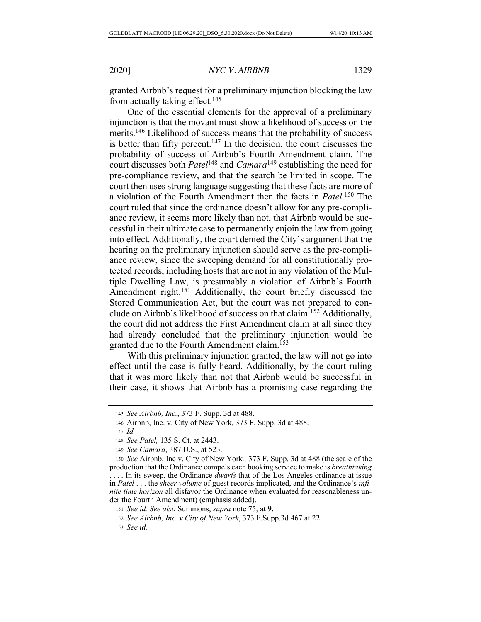granted Airbnb's request for a preliminary injunction blocking the law from actually taking effect.<sup>145</sup>

One of the essential elements for the approval of a preliminary injunction is that the movant must show a likelihood of success on the merits.<sup>146</sup> Likelihood of success means that the probability of success is better than fifty percent.<sup>147</sup> In the decision, the court discusses the probability of success of Airbnb's Fourth Amendment claim. The court discusses both *Patel*<sup>148</sup> and *Camara*149 establishing the need for pre-compliance review, and that the search be limited in scope. The court then uses strong language suggesting that these facts are more of a violation of the Fourth Amendment then the facts in *Patel*. 150 The court ruled that since the ordinance doesn't allow for any pre-compliance review, it seems more likely than not, that Airbnb would be successful in their ultimate case to permanently enjoin the law from going into effect. Additionally, the court denied the City's argument that the hearing on the preliminary injunction should serve as the pre-compliance review, since the sweeping demand for all constitutionally protected records, including hosts that are not in any violation of the Multiple Dwelling Law, is presumably a violation of Airbnb's Fourth Amendment right.<sup>151</sup> Additionally, the court briefly discussed the Stored Communication Act, but the court was not prepared to conclude on Airbnb's likelihood of success on that claim.<sup>152</sup> Additionally, the court did not address the First Amendment claim at all since they had already concluded that the preliminary injunction would be granted due to the Fourth Amendment claim.<sup>153</sup>

With this preliminary injunction granted, the law will not go into effect until the case is fully heard. Additionally, by the court ruling that it was more likely than not that Airbnb would be successful in their case, it shows that Airbnb has a promising case regarding the

<sup>145</sup> *See Airbnb, Inc.*, 373 F. Supp. 3d at 488.

<sup>146</sup> Airbnb, Inc. v. City of New York*,* 373 F. Supp. 3d at 488.

<sup>147</sup> *Id.*

<sup>148</sup> *See Patel,* 135 S. Ct. at 2443.

<sup>149</sup> *See Camara*, 387 U.S., at 523.

<sup>150</sup> *See* Airbnb, Inc v. City of New York*.,* 373 F. Supp. 3d at 488 (the scale of the production that the Ordinance compels each booking service to make is *breathtaking* . . . . In its sweep, the Ordinance *dwarfs* that of the Los Angeles ordinance at issue in *Patel* . . . the *sheer volume* of guest records implicated, and the Ordinance's *infinite time horizon* all disfavor the Ordinance when evaluated for reasonableness under the Fourth Amendment) (emphasis added).

<sup>151</sup> *See id. See also* Summons, *supra* note 75, at **9.**

<sup>152</sup> *See Airbnb, Inc. v City of New York*, 373 F.Supp.3d 467 at 22.

<sup>153</sup> *See id.*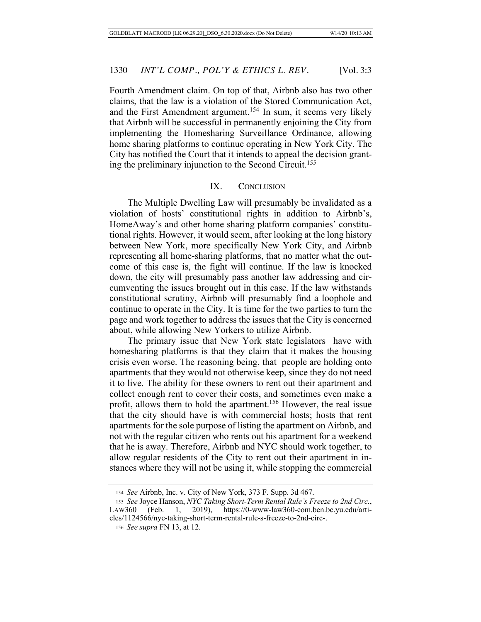Fourth Amendment claim. On top of that, Airbnb also has two other claims, that the law is a violation of the Stored Communication Act, and the First Amendment argument.<sup>154</sup> In sum, it seems very likely that Airbnb will be successful in permanently enjoining the City from implementing the Homesharing Surveillance Ordinance, allowing home sharing platforms to continue operating in New York City. The City has notified the Court that it intends to appeal the decision granting the preliminary injunction to the Second Circuit.155

# IX. CONCLUSION

The Multiple Dwelling Law will presumably be invalidated as a violation of hosts' constitutional rights in addition to Airbnb's, HomeAway's and other home sharing platform companies' constitutional rights. However, it would seem, after looking at the long history between New York, more specifically New York City, and Airbnb representing all home-sharing platforms, that no matter what the outcome of this case is, the fight will continue. If the law is knocked down, the city will presumably pass another law addressing and circumventing the issues brought out in this case. If the law withstands constitutional scrutiny, Airbnb will presumably find a loophole and continue to operate in the City. It is time for the two parties to turn the page and work together to address the issues that the City is concerned about, while allowing New Yorkers to utilize Airbnb.

The primary issue that New York state legislators have with homesharing platforms is that they claim that it makes the housing crisis even worse. The reasoning being, that people are holding onto apartments that they would not otherwise keep, since they do not need it to live. The ability for these owners to rent out their apartment and collect enough rent to cover their costs, and sometimes even make a profit, allows them to hold the apartment.156 However, the real issue that the city should have is with commercial hosts; hosts that rent apartments for the sole purpose of listing the apartment on Airbnb, and not with the regular citizen who rents out his apartment for a weekend that he is away. Therefore, Airbnb and NYC should work together, to allow regular residents of the City to rent out their apartment in instances where they will not be using it, while stopping the commercial

<sup>154</sup> *See* Airbnb, Inc. v. City of New York, 373 F. Supp. 3d 467.

<sup>155</sup> *See* Joyce Hanson, *NYC Taking Short-Term Rental Rule's Freeze to 2nd Circ.*, LAW360 (Feb. 1, 2019), https://0-www-law360-com.ben.bc.yu.edu/articles/1124566/nyc-taking-short-term-rental-rule-s-freeze-to-2nd-circ-.

<sup>156</sup> *See supra* FN 13, at 12.